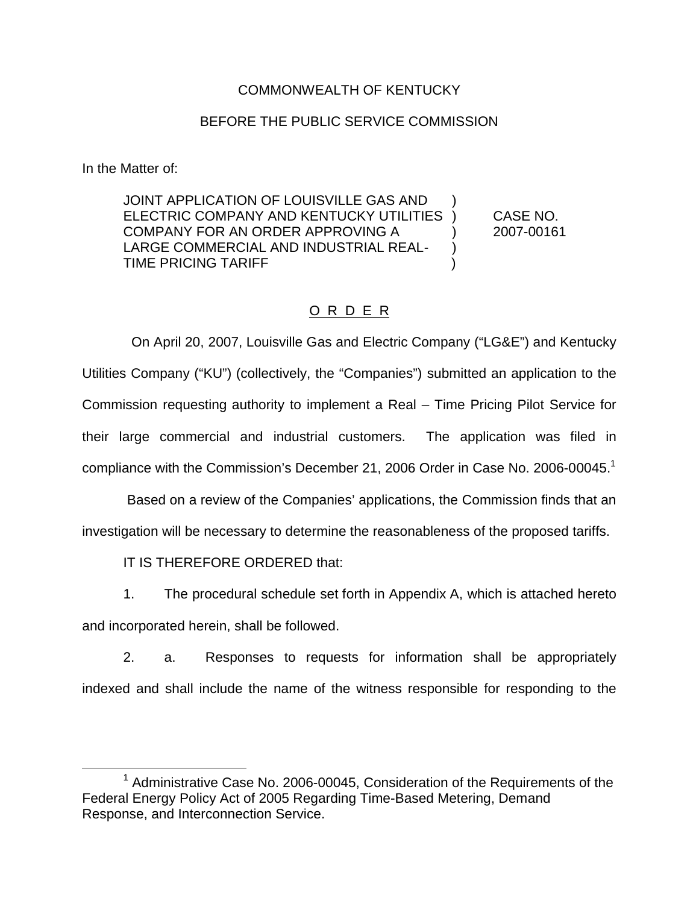### COMMONWEALTH OF KENTUCKY

### BEFORE THE PUBLIC SERVICE COMMISSION

In the Matter of:

JOINT APPLICATION OF LOUISVILLE GAS AND ELECTRIC COMPANY AND KENTUCKY UTILITIES ) CASE NO. COMPANY FOR AN ORDER APPROVING A (2007-00161) LARGE COMMERCIAL AND INDUSTRIAL REAL- ) TIME PRICING TARIFF )

### O R D E R

On April 20, 2007, Louisville Gas and Electric Company ("LG&E") and Kentucky Utilities Company ("KU") (collectively, the "Companies") submitted an application to the Commission requesting authority to implement a Real – Time Pricing Pilot Service for their large commercial and industrial customers. The application was filed in compliance with the Commission's December 21, 2006 Order in Case No. 2006-00045.<sup>1</sup>

Based on a review of the Companies' applications, the Commission finds that an investigation will be necessary to determine the reasonableness of the proposed tariffs.

IT IS THEREFORE ORDERED that:

1. The procedural schedule set forth in Appendix A, which is attached hereto

and incorporated herein, shall be followed.

2. a. Responses to requests for information shall be appropriately indexed and shall include the name of the witness responsible for responding to the

 $1$  Administrative Case No. 2006-00045, Consideration of the Requirements of the Federal Energy Policy Act of 2005 Regarding Time-Based Metering, Demand Response, and Interconnection Service.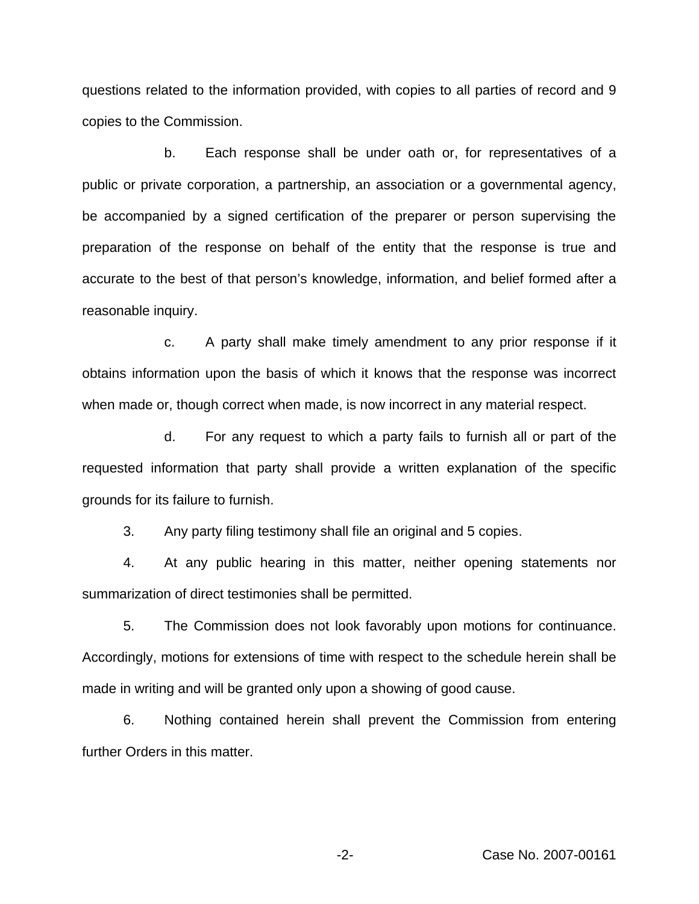questions related to the information provided, with copies to all parties of record and 9 copies to the Commission.

b. Each response shall be under oath or, for representatives of a public or private corporation, a partnership, an association or a governmental agency, be accompanied by a signed certification of the preparer or person supervising the preparation of the response on behalf of the entity that the response is true and accurate to the best of that person's knowledge, information, and belief formed after a reasonable inquiry.

c. A party shall make timely amendment to any prior response if it obtains information upon the basis of which it knows that the response was incorrect when made or, though correct when made, is now incorrect in any material respect.

d. For any request to which a party fails to furnish all or part of the requested information that party shall provide a written explanation of the specific grounds for its failure to furnish.

3. Any party filing testimony shall file an original and 5 copies.

4. At any public hearing in this matter, neither opening statements nor summarization of direct testimonies shall be permitted.

5. The Commission does not look favorably upon motions for continuance. Accordingly, motions for extensions of time with respect to the schedule herein shall be made in writing and will be granted only upon a showing of good cause.

6. Nothing contained herein shall prevent the Commission from entering further Orders in this matter.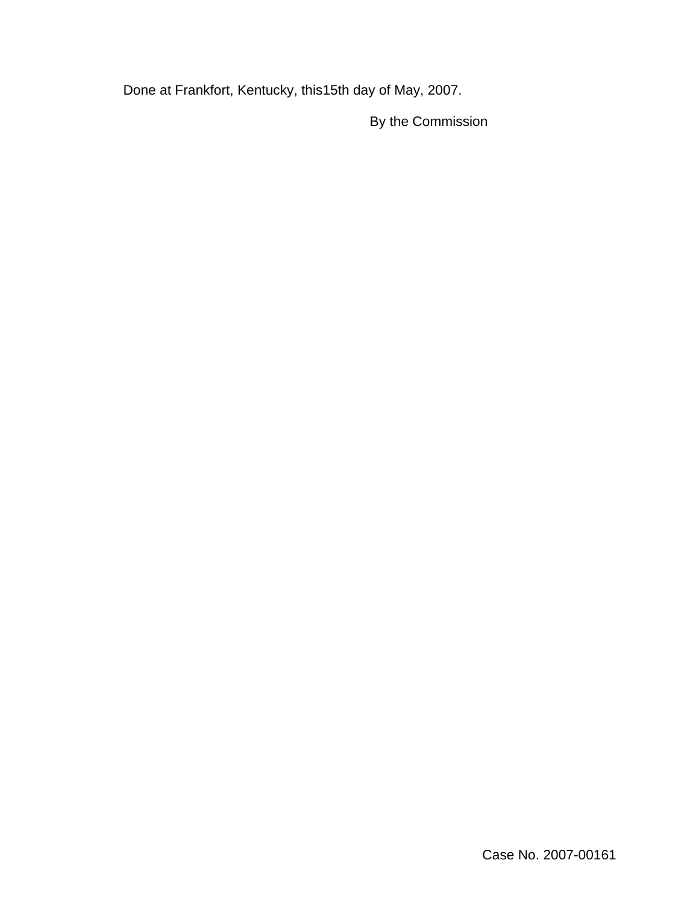Done at Frankfort, Kentucky, this15th day of May, 2007.

By the Commission